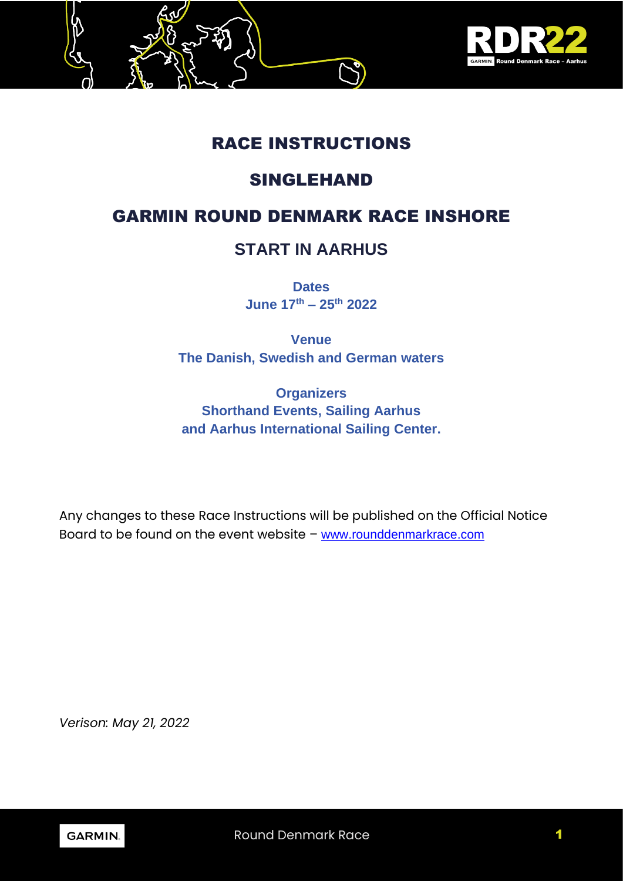

# RACE INSTRUCTIONS

# SINGLEHAND

# GARMIN ROUND DENMARK RACE INSHORE

# **START IN AARHUS**

**Dates June 17th – 25th 2022**

**Venue The Danish, Swedish and German waters**

**Organizers Shorthand Events, Sailing Aarhus and Aarhus International Sailing Center.**

Any changes to these Race Instructions will be published on the Official Notice Board to be found on the event website – [www.rounddenmarkrace.com](http://www.rounddenmarkrace.com/)

*Verison: May 21, 2022*

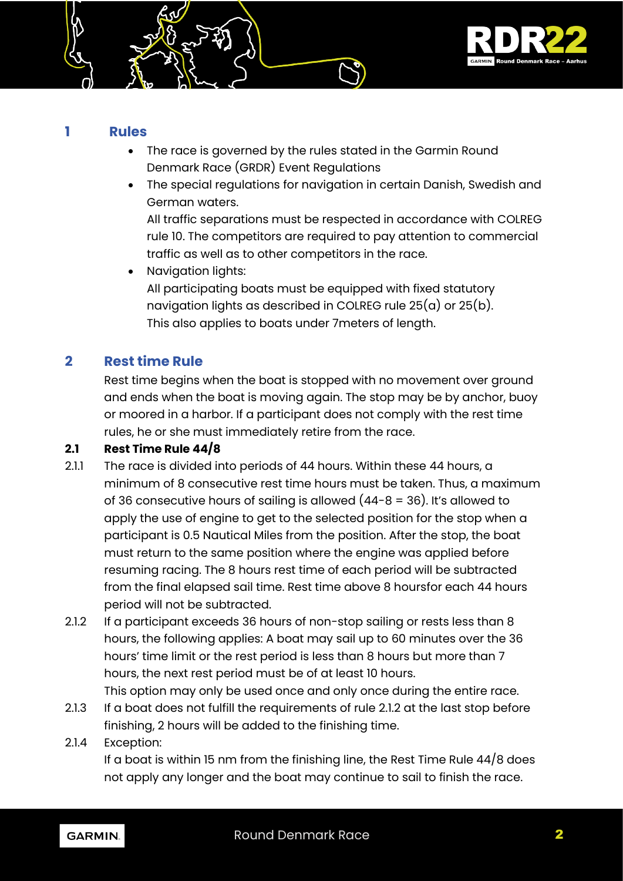

#### **1 Rules**

- The race is governed by the rules stated in the Garmin Round Denmark Race (GRDR) Event Regulations
- The special regulations for navigation in certain Danish, Swedish and German waters.

All traffic separations must be respected in accordance with COLREG rule 10. The competitors are required to pay attention to commercial traffic as well as to other competitors in the race.

• Navigation lights: All participating boats must be equipped with fixed statutory navigation lights as described in COLREG rule  $25(a)$  or  $25(b)$ . This also applies to boats under 7meters of length.

# **2 Rest time Rule**

Rest time begins when the boat is stopped with no movement over ground and ends when the boat is moving again. The stop may be by anchor, buoy or moored in a harbor. If a participant does not comply with the rest time rules, he or she must immediately retire from the race.

#### **2.1 Rest Time Rule 44/8**

- 2.1.1 The race is divided into periods of 44 hours. Within these 44 hours, a minimum of 8 consecutive rest time hours must be taken. Thus, a maximum of 36 consecutive hours of sailing is allowed (44-8 = 36). It's allowed to apply the use of engine to get to the selected position for the stop when a participant is 0.5 Nautical Miles from the position. After the stop, the boat must return to the same position where the engine was applied before resuming racing. The 8 hours rest time of each period will be subtracted from the final elapsed sail time. Rest time above 8 hoursfor each 44 hours period will not be subtracted.
- 2.1.2 If a participant exceeds 36 hours of non-stop sailing or rests less than 8 hours, the following applies: A boat may sail up to 60 minutes over the 36 hours' time limit or the rest period is less than 8 hours but more than 7 hours, the next rest period must be of at least 10 hours.

This option may only be used once and only once during the entire race.

- 2.1.3 If a boat does not fulfill the requirements of rule 2.1.2 at the last stop before finishing, 2 hours will be added to the finishing time.
- 2.1.4 Exception:

If a boat is within 15 nm from the finishing line, the Rest Time Rule  $44/8$  does not apply any longer and the boat may continue to sail to finish the race.

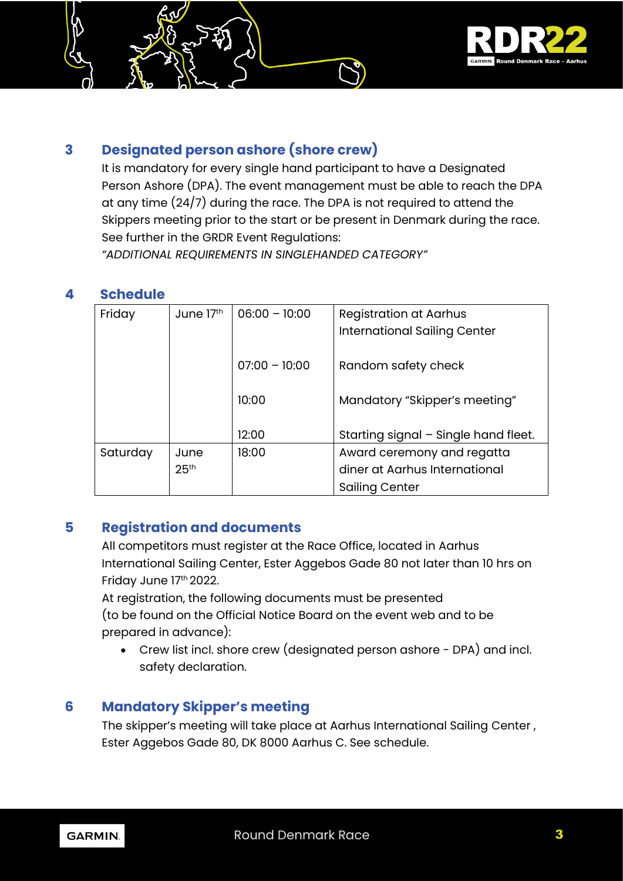

# **3 Designated person ashore (shore crew)**

It is mandatory for every single hand participant to have a Designated Person Ashore (DPA). The event management must be able to reach the DPA at any time (24/7) during the race. The DPA is not required to attend the Skippers meeting prior to the start or be present in Denmark during the race. See further in the GRDR Event Regulations:

*"ADDITIONAL REQUIREMENTS IN SINGLEHANDED CATEGORY"*

## **4 Schedule**

| Friday   | June 17th        | $06:00 - 10:00$ | <b>Registration at Aarhus</b>        |  |
|----------|------------------|-----------------|--------------------------------------|--|
|          |                  |                 | <b>International Sailing Center</b>  |  |
|          |                  |                 |                                      |  |
|          |                  | $07:00 - 10:00$ | Random safety check                  |  |
|          |                  |                 |                                      |  |
|          |                  | 10:00           | Mandatory "Skipper's meeting"        |  |
|          |                  |                 |                                      |  |
|          |                  | 12:00           | Starting signal - Single hand fleet. |  |
| Saturday | June             | 18:00           | Award ceremony and regatta           |  |
|          | 25 <sup>th</sup> |                 | diner at Aarhus International        |  |
|          |                  |                 | Sailing Center                       |  |

# **5 Registration and documents**

All competitors must register at the Race Office, located in Aarhus International Sailing Center, Ester Aggebos Gade 80 not later than 10 hrs on Friday June 17th 2022.

At registration, the following documents must be presented (to be found on the Official Notice Board on the event web and to be prepared in advance):

• Crew list incl. shore crew (designated person ashore - DPA) and incl. safety declaration.

# **6 Mandatory Skipper's meeting**

The skipper's meeting will take place at Aarhus International Sailing Center , Ester Aggebos Gade 80, DK 8000 Aarhus C. See schedule.

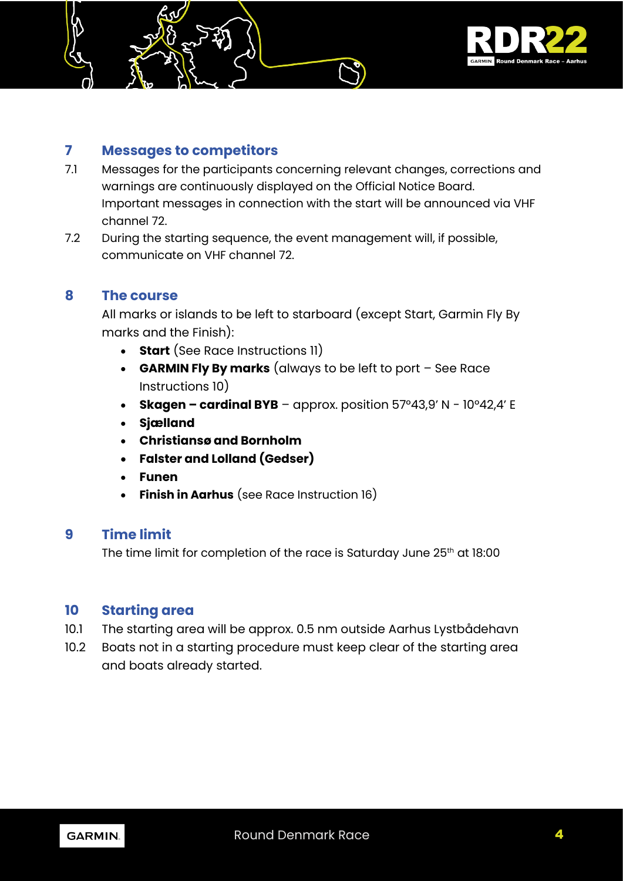

# **7 Messages to competitors**

- 7.1 Messages for the participants concerning relevant changes, corrections and warnings are continuously displayed on the Official Notice Board. Important messages in connection with the start will be announced via VHF channel 72.
- 7.2 During the starting sequence, the event management will, if possible, communicate on VHF channel 72.

#### **8 The course**

All marks or islands to be left to starboard (except Start, Garmin Fly By marks and the Finish):

- **Start** (See Race Instructions 11)
- **GARMIN Fly By marks** (always to be left to port See Race Instructions 10)
- **Skagen – cardinal BYB** approx. position 57°43,9' N 10°42,4' E
- **Sjælland**
- **Christiansø and Bornholm**
- **Falster and Lolland (Gedser)**
- **Funen**
- **Finish in Aarhus** (see Race Instruction 16)

## **9 Time limit**

The time limit for completion of the race is Saturday June 25<sup>th</sup> at 18:00

#### **10 Starting area**

- 10.1 The starting area will be approx. 0.5 nm outside Aarhus Lystbådehavn
- 10.2 Boats not in a starting procedure must keep clear of the starting area and boats already started.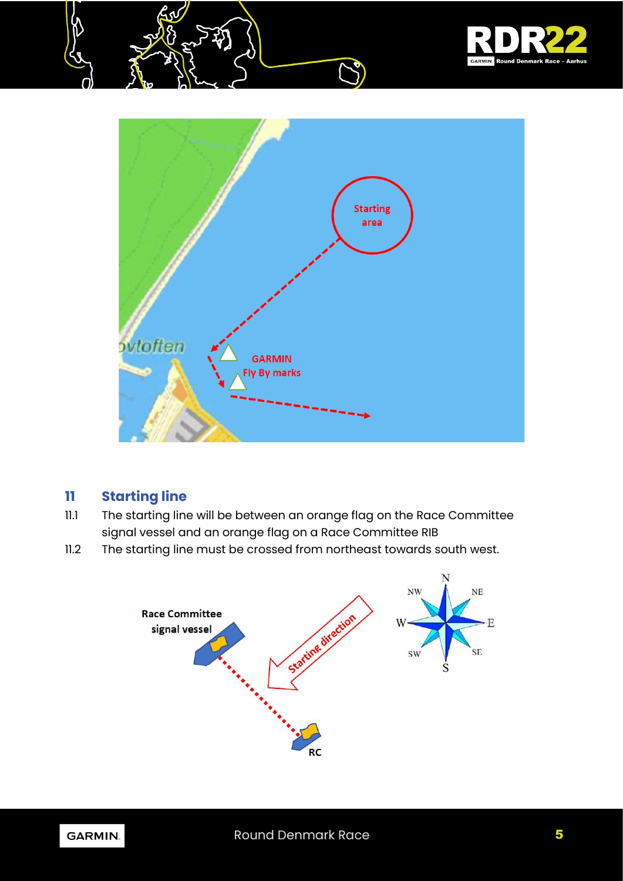



# **11 Starting line**

- 11.1 The starting line will be between an orange flag on the Race Committee signal vessel and an orange flag on a Race Committee RIB
- 11.2 The starting line must be crossed from northeast towards south west.



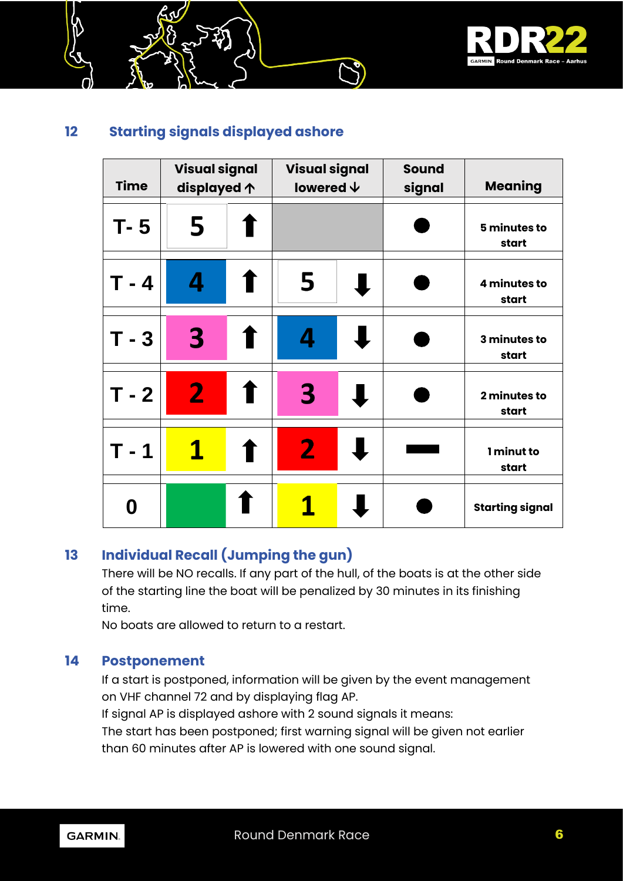

# **12 Starting signals displayed ashore**

| <b>Time</b> | <b>Visual signal</b><br>displayed $\uparrow$ |                | <b>Visual signal</b><br>lowered $\bm{\downarrow}$ |  | <b>Sound</b><br>signal | <b>Meaning</b>         |
|-------------|----------------------------------------------|----------------|---------------------------------------------------|--|------------------------|------------------------|
| $T - 5$     | 5                                            |                |                                                   |  |                        | 5 minutes to<br>start  |
| T - 4       | 4                                            |                | 5                                                 |  |                        | 4 minutes to<br>start  |
| $T - 3$     | 3                                            |                | 4                                                 |  |                        | 3 minutes to<br>start  |
| $T - 2$     | $\overline{2}$                               | $\blacksquare$ | 3                                                 |  |                        | 2 minutes to<br>start  |
| T - 1       | $\mathbf 1$                                  |                | $\mathbf{2}$                                      |  |                        | 1 minut to<br>start    |
| 0           |                                              |                |                                                   |  |                        | <b>Starting signal</b> |

# **13 Individual Recall (Jumping the gun)**

There will be NO recalls. If any part of the hull, of the boats is at the other side of the starting line the boat will be penalized by 30 minutes in its finishing time.

No boats are allowed to return to a restart.

## **14 Postponement**

If a start is postponed, information will be given by the event management on VHF channel 72 and by displaying flag AP.

If signal AP is displayed ashore with 2 sound signals it means:

The start has been postponed; first warning signal will be given not earlier than 60 minutes after AP is lowered with one sound signal.

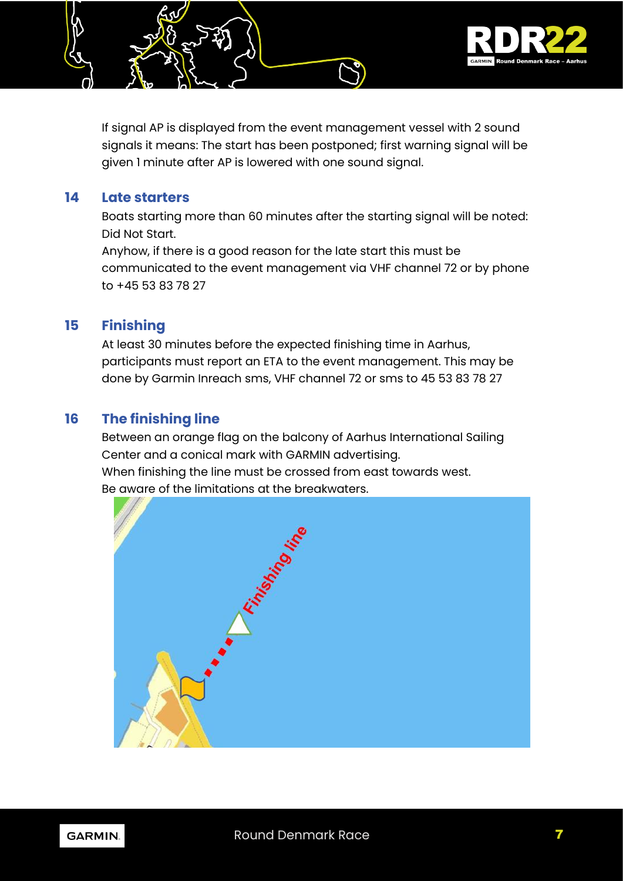

If signal AP is displayed from the event management vessel with 2 sound signals it means: The start has been postponed; first warning signal will be given 1 minute after AP is lowered with one sound signal.

#### **14 Late starters**

Boats starting more than 60 minutes after the starting signal will be noted: Did Not Start.

Anyhow, if there is a good reason for the late start this must be communicated to the event management via VHF channel 72 or by phone to +45 53 83 78 27

#### **15 Finishing**

At least 30 minutes before the expected finishing time in Aarhus, participants must report an ETA to the event management. This may be done by Garmin Inreach sms, VHF channel 72 or sms to 45 53 83 78 27

#### **16 The finishing line**

Between an orange flag on the balcony of Aarhus International Sailing Center and a conical mark with GARMIN advertising. When finishing the line must be crossed from east towards west. Be aware of the limitations at the breakwaters.



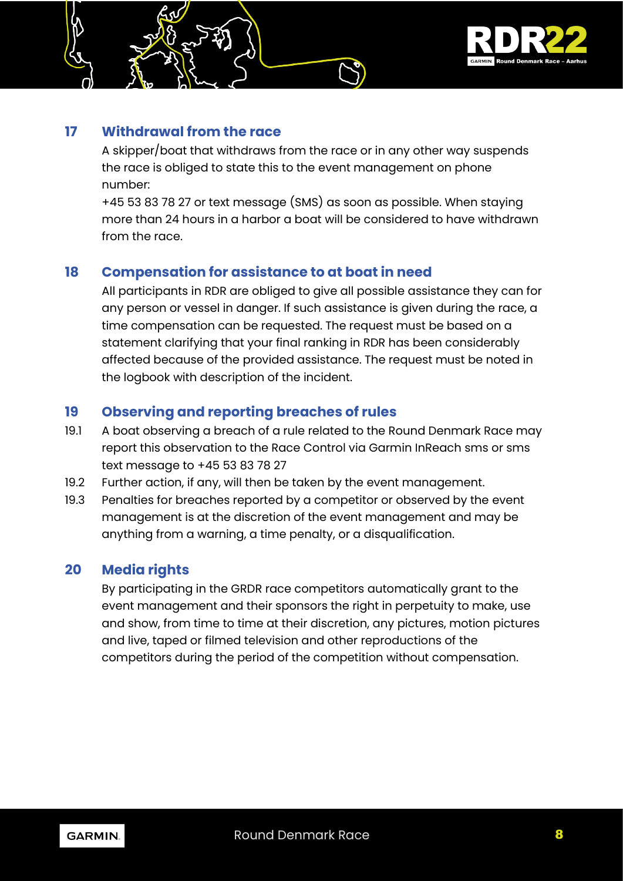

### **17 Withdrawal from the race**

A skipper/boat that withdraws from the race or in any other way suspends the race is obliged to state this to the event management on phone number:

+45 53 83 78 27 or text message (SMS) as soon as possible. When staying more than 24 hours in a harbor a boat will be considered to have withdrawn from the race.

## **18 Compensation for assistance to at boat in need**

All participants in RDR are obliged to give all possible assistance they can for any person or vessel in danger. If such assistance is given during the race, a time compensation can be requested. The request must be based on a statement clarifying that your final ranking in RDR has been considerably affected because of the provided assistance. The request must be noted in the logbook with description of the incident.

## **19 Observing and reporting breaches of rules**

- 19.1 A boat observing a breach of a rule related to the Round Denmark Race may report this observation to the Race Control via Garmin InReach sms or sms text message to +45 53 83 78 27
- 19.2 Further action, if any, will then be taken by the event management.
- 19.3 Penalties for breaches reported by a competitor or observed by the event management is at the discretion of the event management and may be anything from a warning, a time penalty, or a disqualification.

#### **20 Media rights**

By participating in the GRDR race competitors automatically grant to the event management and their sponsors the right in perpetuity to make, use and show, from time to time at their discretion, any pictures, motion pictures and live, taped or filmed television and other reproductions of the competitors during the period of the competition without compensation.